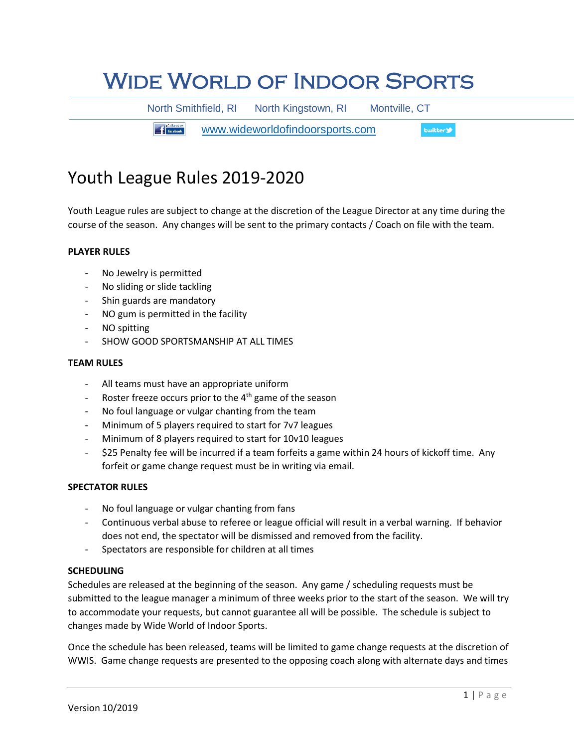# Wide World of Indoor Sports

North Smithfield, RI North Kingstown, RI Montville, CT

**The Figure 11 Facebook.** [www.wideworldofindoorsports.com](http://www.wideworldofindoorsports.com/) **Ewitter** 

# Youth League Rules 2019-2020

Youth League rules are subject to change at the discretion of the League Director at any time during the course of the season. Any changes will be sent to the primary contacts / Coach on file with the team.

# **PLAYER RULES**

- No Jewelry is permitted
- No sliding or slide tackling
- Shin guards are mandatory
- NO gum is permitted in the facility
- NO spitting
- SHOW GOOD SPORTSMANSHIP AT ALL TIMES

#### **TEAM RULES**

- All teams must have an appropriate uniform
- Roster freeze occurs prior to the  $4<sup>th</sup>$  game of the season
- No foul language or vulgar chanting from the team
- Minimum of 5 players required to start for 7v7 leagues
- Minimum of 8 players required to start for 10v10 leagues
- \$25 Penalty fee will be incurred if a team forfeits a game within 24 hours of kickoff time. Any forfeit or game change request must be in writing via email.

# **SPECTATOR RULES**

- No foul language or vulgar chanting from fans
- Continuous verbal abuse to referee or league official will result in a verbal warning. If behavior does not end, the spectator will be dismissed and removed from the facility.
- Spectators are responsible for children at all times

# **SCHEDULING**

Schedules are released at the beginning of the season. Any game / scheduling requests must be submitted to the league manager a minimum of three weeks prior to the start of the season. We will try to accommodate your requests, but cannot guarantee all will be possible. The schedule is subject to changes made by Wide World of Indoor Sports.

Once the schedule has been released, teams will be limited to game change requests at the discretion of WWIS. Game change requests are presented to the opposing coach along with alternate days and times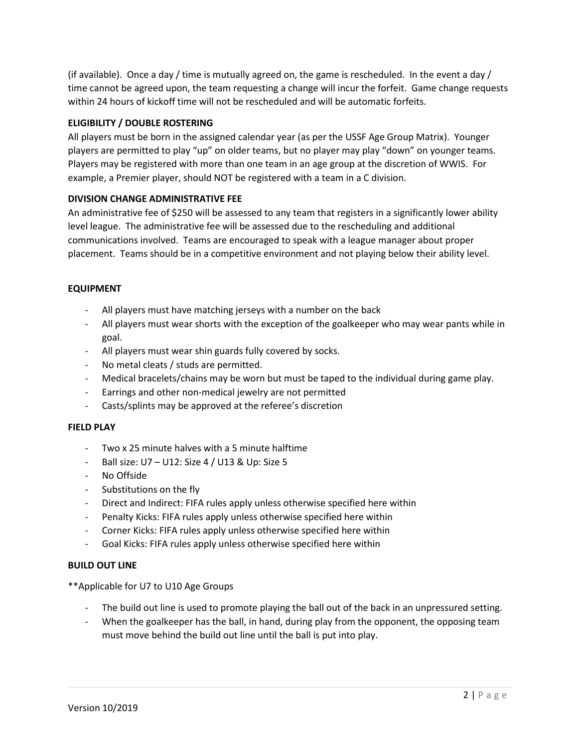(if available). Once a day / time is mutually agreed on, the game is rescheduled. In the event a day / time cannot be agreed upon, the team requesting a change will incur the forfeit. Game change requests within 24 hours of kickoff time will not be rescheduled and will be automatic forfeits.

# **ELIGIBILITY / DOUBLE ROSTERING**

All players must be born in the assigned calendar year (as per the USSF Age Group Matrix). Younger players are permitted to play "up" on older teams, but no player may play "down" on younger teams. Players may be registered with more than one team in an age group at the discretion of WWIS. For example, a Premier player, should NOT be registered with a team in a C division.

# **DIVISION CHANGE ADMINISTRATIVE FEE**

An administrative fee of \$250 will be assessed to any team that registers in a significantly lower ability level league. The administrative fee will be assessed due to the rescheduling and additional communications involved. Teams are encouraged to speak with a league manager about proper placement. Teams should be in a competitive environment and not playing below their ability level.

# **EQUIPMENT**

- All players must have matching jerseys with a number on the back
- All players must wear shorts with the exception of the goalkeeper who may wear pants while in goal.
- All players must wear shin guards fully covered by socks.
- No metal cleats / studs are permitted.
- Medical bracelets/chains may be worn but must be taped to the individual during game play.
- Earrings and other non-medical jewelry are not permitted
- Casts/splints may be approved at the referee's discretion

# **FIELD PLAY**

- Two x 25 minute halves with a 5 minute halftime
- Ball size: U7 U12: Size 4 / U13 & Up: Size 5
- No Offside
- Substitutions on the fly
- Direct and Indirect: FIFA rules apply unless otherwise specified here within
- Penalty Kicks: FIFA rules apply unless otherwise specified here within
- Corner Kicks: FIFA rules apply unless otherwise specified here within
- Goal Kicks: FIFA rules apply unless otherwise specified here within

# **BUILD OUT LINE**

\*\*Applicable for U7 to U10 Age Groups

- The build out line is used to promote playing the ball out of the back in an unpressured setting.
- When the goalkeeper has the ball, in hand, during play from the opponent, the opposing team must move behind the build out line until the ball is put into play.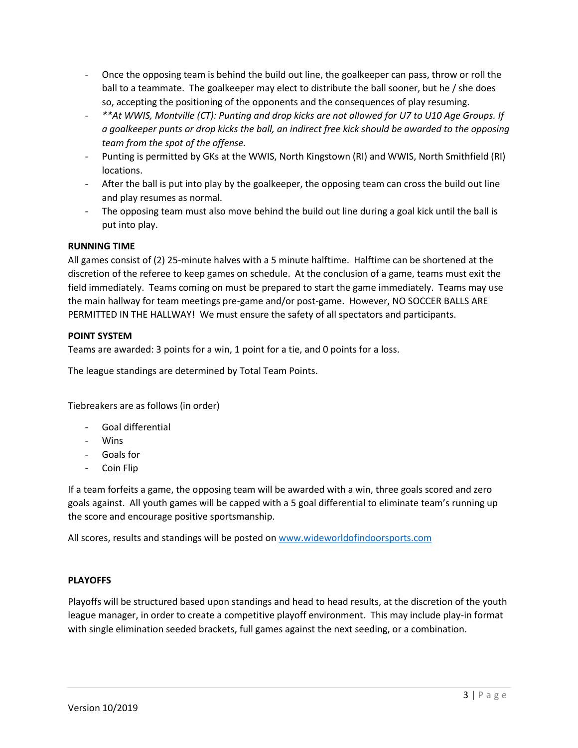- Once the opposing team is behind the build out line, the goalkeeper can pass, throw or roll the ball to a teammate. The goalkeeper may elect to distribute the ball sooner, but he / she does so, accepting the positioning of the opponents and the consequences of play resuming.
- *\*\*At WWIS, Montville (CT): Punting and drop kicks are not allowed for U7 to U10 Age Groups. If a goalkeeper punts or drop kicks the ball, an indirect free kick should be awarded to the opposing team from the spot of the offense.*
- Punting is permitted by GKs at the WWIS, North Kingstown (RI) and WWIS, North Smithfield (RI) locations.
- After the ball is put into play by the goalkeeper, the opposing team can cross the build out line and play resumes as normal.
- The opposing team must also move behind the build out line during a goal kick until the ball is put into play.

# **RUNNING TIME**

All games consist of (2) 25-minute halves with a 5 minute halftime. Halftime can be shortened at the discretion of the referee to keep games on schedule. At the conclusion of a game, teams must exit the field immediately. Teams coming on must be prepared to start the game immediately. Teams may use the main hallway for team meetings pre-game and/or post-game. However, NO SOCCER BALLS ARE PERMITTED IN THE HALLWAY! We must ensure the safety of all spectators and participants.

# **POINT SYSTEM**

Teams are awarded: 3 points for a win, 1 point for a tie, and 0 points for a loss.

The league standings are determined by Total Team Points.

Tiebreakers are as follows (in order)

- Goal differential
- Wins
- Goals for
- Coin Flip

If a team forfeits a game, the opposing team will be awarded with a win, three goals scored and zero goals against. All youth games will be capped with a 5 goal differential to eliminate team's running up the score and encourage positive sportsmanship.

All scores, results and standings will be posted on [www.wideworldofindoorsports.com](http://www.wideworldofindoorsports.com/)

# **PLAYOFFS**

Playoffs will be structured based upon standings and head to head results, at the discretion of the youth league manager, in order to create a competitive playoff environment. This may include play-in format with single elimination seeded brackets, full games against the next seeding, or a combination.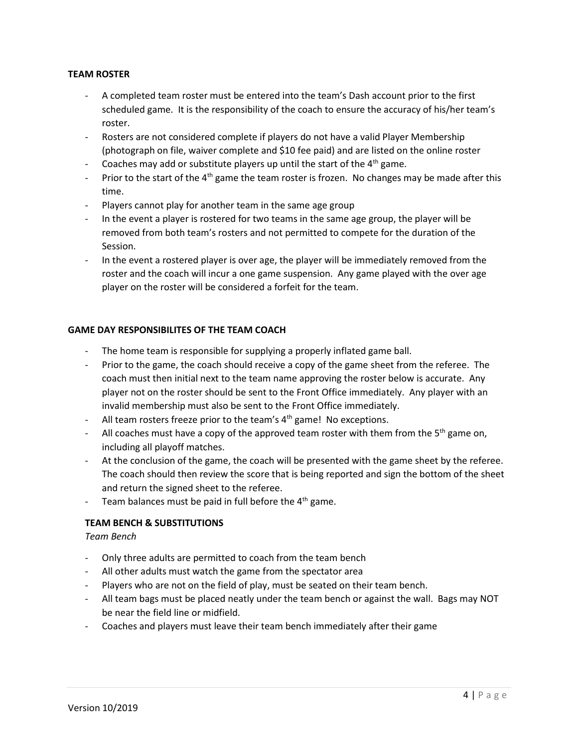# **TEAM ROSTER**

- A completed team roster must be entered into the team's Dash account prior to the first scheduled game. It is the responsibility of the coach to ensure the accuracy of his/her team's roster.
- Rosters are not considered complete if players do not have a valid Player Membership (photograph on file, waiver complete and \$10 fee paid) and are listed on the online roster
- Coaches may add or substitute players up until the start of the  $4<sup>th</sup>$  game.
- Prior to the start of the  $4<sup>th</sup>$  game the team roster is frozen. No changes may be made after this time.
- Players cannot play for another team in the same age group
- In the event a player is rostered for two teams in the same age group, the player will be removed from both team's rosters and not permitted to compete for the duration of the Session.
- In the event a rostered player is over age, the player will be immediately removed from the roster and the coach will incur a one game suspension. Any game played with the over age player on the roster will be considered a forfeit for the team.

# **GAME DAY RESPONSIBILITES OF THE TEAM COACH**

- The home team is responsible for supplying a properly inflated game ball.
- Prior to the game, the coach should receive a copy of the game sheet from the referee. The coach must then initial next to the team name approving the roster below is accurate. Any player not on the roster should be sent to the Front Office immediately. Any player with an invalid membership must also be sent to the Front Office immediately.
- All team rosters freeze prior to the team's  $4<sup>th</sup>$  game! No exceptions.
- All coaches must have a copy of the approved team roster with them from the 5<sup>th</sup> game on, including all playoff matches.
- At the conclusion of the game, the coach will be presented with the game sheet by the referee. The coach should then review the score that is being reported and sign the bottom of the sheet and return the signed sheet to the referee.
- Team balances must be paid in full before the  $4<sup>th</sup>$  game.

# **TEAM BENCH & SUBSTITUTIONS**

# *Team Bench*

- Only three adults are permitted to coach from the team bench
- All other adults must watch the game from the spectator area
- Players who are not on the field of play, must be seated on their team bench.
- All team bags must be placed neatly under the team bench or against the wall. Bags may NOT be near the field line or midfield.
- Coaches and players must leave their team bench immediately after their game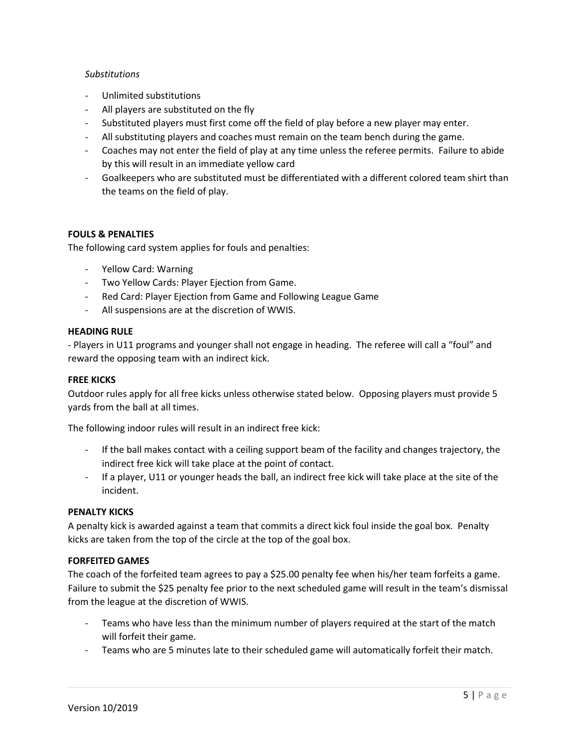# *Substitutions*

- Unlimited substitutions
- All players are substituted on the fly
- Substituted players must first come off the field of play before a new player may enter.
- All substituting players and coaches must remain on the team bench during the game.
- Coaches may not enter the field of play at any time unless the referee permits. Failure to abide by this will result in an immediate yellow card
- Goalkeepers who are substituted must be differentiated with a different colored team shirt than the teams on the field of play.

# **FOULS & PENALTIES**

The following card system applies for fouls and penalties:

- Yellow Card: Warning
- Two Yellow Cards: Player Ejection from Game.
- Red Card: Player Ejection from Game and Following League Game
- All suspensions are at the discretion of WWIS.

#### **HEADING RULE**

- Players in U11 programs and younger shall not engage in heading. The referee will call a "foul" and reward the opposing team with an indirect kick.

#### **FREE KICKS**

Outdoor rules apply for all free kicks unless otherwise stated below. Opposing players must provide 5 yards from the ball at all times.

The following indoor rules will result in an indirect free kick:

- If the ball makes contact with a ceiling support beam of the facility and changes trajectory, the indirect free kick will take place at the point of contact.
- If a player, U11 or younger heads the ball, an indirect free kick will take place at the site of the incident.

# **PENALTY KICKS**

A penalty kick is awarded against a team that commits a direct kick foul inside the goal box. Penalty kicks are taken from the top of the circle at the top of the goal box.

# **FORFEITED GAMES**

The coach of the forfeited team agrees to pay a \$25.00 penalty fee when his/her team forfeits a game. Failure to submit the \$25 penalty fee prior to the next scheduled game will result in the team's dismissal from the league at the discretion of WWIS.

- Teams who have less than the minimum number of players required at the start of the match will forfeit their game.
- Teams who are 5 minutes late to their scheduled game will automatically forfeit their match.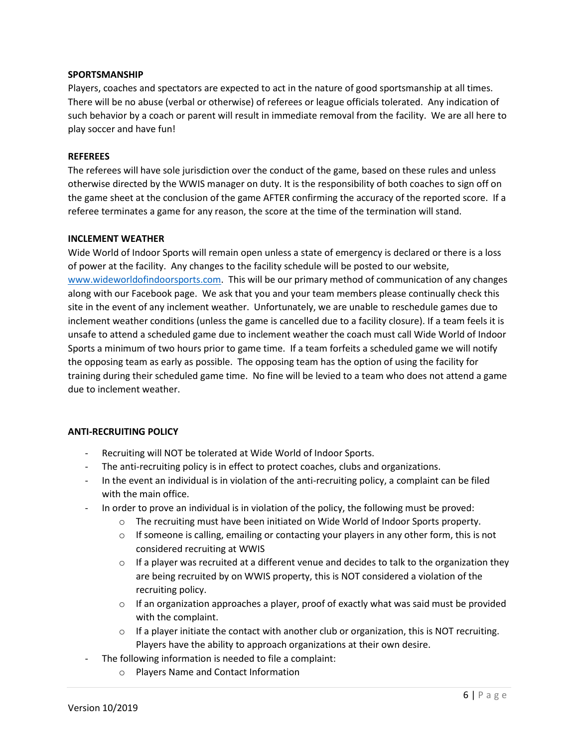#### **SPORTSMANSHIP**

Players, coaches and spectators are expected to act in the nature of good sportsmanship at all times. There will be no abuse (verbal or otherwise) of referees or league officials tolerated. Any indication of such behavior by a coach or parent will result in immediate removal from the facility. We are all here to play soccer and have fun!

#### **REFEREES**

The referees will have sole jurisdiction over the conduct of the game, based on these rules and unless otherwise directed by the WWIS manager on duty. It is the responsibility of both coaches to sign off on the game sheet at the conclusion of the game AFTER confirming the accuracy of the reported score. If a referee terminates a game for any reason, the score at the time of the termination will stand.

#### **INCLEMENT WEATHER**

Wide World of Indoor Sports will remain open unless a state of emergency is declared or there is a loss of power at the facility. Any changes to the facility schedule will be posted to our website, [www.wideworldofindoorsports.com.](http://www.wideworldofindoorsports.com/) This will be our primary method of communication of any changes along with our Facebook page. We ask that you and your team members please continually check this site in the event of any inclement weather. Unfortunately, we are unable to reschedule games due to inclement weather conditions (unless the game is cancelled due to a facility closure). If a team feels it is unsafe to attend a scheduled game due to inclement weather the coach must call Wide World of Indoor Sports a minimum of two hours prior to game time. If a team forfeits a scheduled game we will notify the opposing team as early as possible. The opposing team has the option of using the facility for training during their scheduled game time. No fine will be levied to a team who does not attend a game due to inclement weather.

#### **ANTI-RECRUITING POLICY**

- Recruiting will NOT be tolerated at Wide World of Indoor Sports.
- The anti-recruiting policy is in effect to protect coaches, clubs and organizations.
- In the event an individual is in violation of the anti-recruiting policy, a complaint can be filed with the main office.
- In order to prove an individual is in violation of the policy, the following must be proved:
	- $\circ$  The recruiting must have been initiated on Wide World of Indoor Sports property.
	- $\circ$  If someone is calling, emailing or contacting your players in any other form, this is not considered recruiting at WWIS
	- $\circ$  If a player was recruited at a different venue and decides to talk to the organization they are being recruited by on WWIS property, this is NOT considered a violation of the recruiting policy.
	- $\circ$  If an organization approaches a player, proof of exactly what was said must be provided with the complaint.
	- $\circ$  If a player initiate the contact with another club or organization, this is NOT recruiting. Players have the ability to approach organizations at their own desire.
- The following information is needed to file a complaint:
	- o Players Name and Contact Information